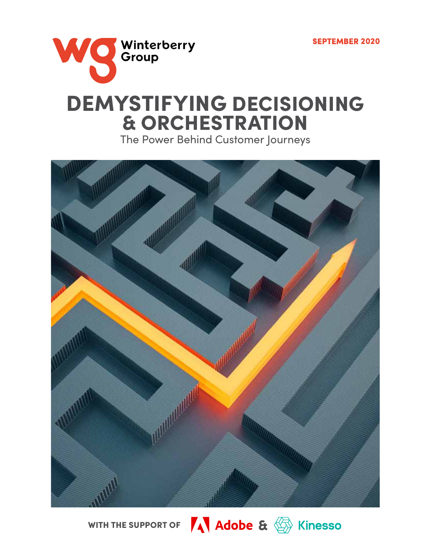

DEMYSTIFYING DECISIONING & ORCHESTRATION The Power Behind Customer Journeys

a and the second starting

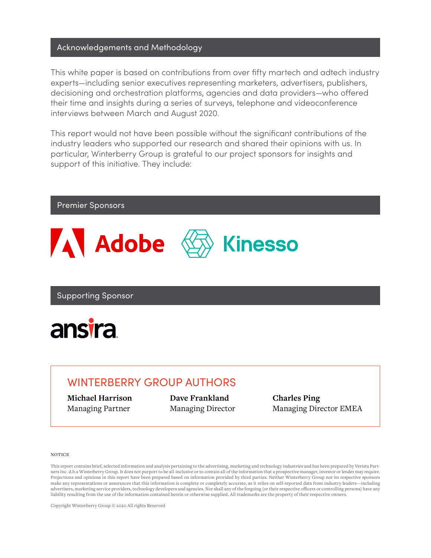## Acknowledgements and Methodology

This white paper is based on contributions from over fifty martech and adtech industry experts—including senior executives representing marketers, advertisers, publishers, decisioning and orchestration platforms, agencies and data providers—who offered their time and insights during a series of surveys, telephone and videoconference interviews between March and August 2020.

This report would not have been possible without the significant contributions of the industry leaders who supported our research and shared their opinions with us. In particular, Winterberry Group is grateful to our project sponsors for insights and support of this initiative. They include:

## Premier Sponsors



Supporting Sponsor



## WINTERBERRY GROUP AUTHORS

**Michael Harrison** Managing Partner

**Dave Frankland** Managing Director **Charles Ping** Managing Director EMEA

### **NOTICE**

This report contains brief, selected information and analysis pertaining to the advertising, marketing and technology industries and has been prepared by Verista Partners Inc. d.b.a Winterberry Group. It does not purport to be all-inclusive or to contain all of the information that a prospective manager, investor or lender may require. Projections and opinions in this report have been prepared based on information provided by third parties. Neither Winterberry Group nor its respective sponsors make any representations or assurances that this information is complete or completely accurate, as it relies on self-reported data from industry leaders—including advertisers, marketing service providers, technology developers and agencies. Nor shall any of the forgoing (or their respective officers or controlling persons) have any liability resulting from the use of the information contained herein or otherwise supplied. All trademarks are the property of their respective owners.

Copyright Winterberry Group © 2020 All rights Reserved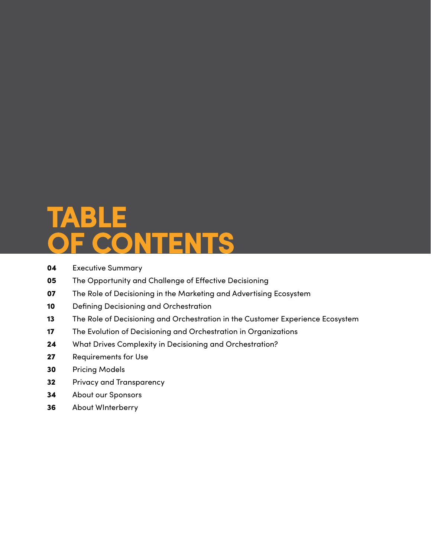# **TABLE OF CONTENTS**

- [Executive Summary](#page-3-0)
- [The Opportunity and Challenge of Effective Decisioning](#page-4-0)
- [The Role of Decisioning in the Marketing and Advertising Ecosystem](#page-6-0)
- [Defining Decisioning and Orchestration](#page-9-0)
- [The Role of Decisioning and Orchestration in the Customer Experience Ecosystem](#page-12-0)
- [The Evolution of Decisioning and Orchestration in Organizations](#page-16-0)
- [What Drives Complexity in Decisioning and Orchestration?](#page-23-0)
- [Requirements for Use](#page-26-0)
- [Pricing Models](#page-29-0)
- [Privacy and Transparency](#page-31-0)
- [About our Sponsors](#page-33-0)
- [About WInterberry](#page-35-0)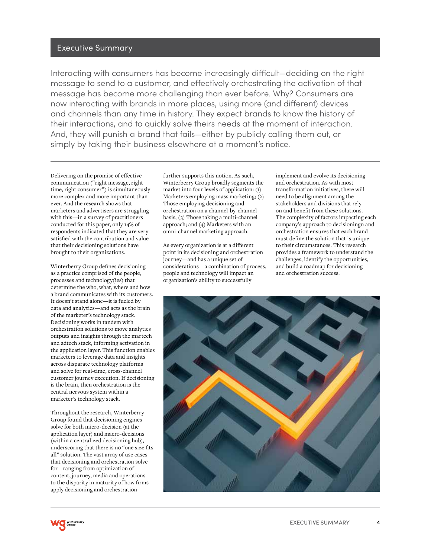### <span id="page-3-0"></span>Executive Summary

Interacting with consumers has become increasingly difficult—deciding on the right message to send to a customer, and effectively orchestrating the activation of that message has become more challenging than ever before. Why? Consumers are now interacting with brands in more places, using more (and different) devices and channels than any time in history. They expect brands to know the history of their interactions, and to quickly solve theirs needs at the moment of interaction. And, they will punish a brand that fails—either by publicly calling them out, or simply by taking their business elsewhere at a moment's notice.

Delivering on the promise of effective communication ("right message, right time, right consumer") is simultaneously more complex and more important than ever. And the research shows that marketers and advertisers are struggling with this—in a survey of practitioners conducted for this paper, only 14% of respondents indicated that they are very satisfied with the contribution and value that their decisioning solutions have brought to their organizations.

Winterberry Group defines decisioning as a practice comprised of the people, processes and technology(ies) that determine the who, what, where and how a brand communicates with its customers. It doesn't stand alone—it is fueled by data and analytics—and acts as the brain of the marketer's technology stack. Decisioning works in tandem with orchestration solutions to move analytics outputs and insights through the martech and adtech stack, informing activation in the application layer. This function enables marketers to leverage data and insights across disparate technology platforms and solve for real-time, cross-channel customer journey execution. If decisioning is the brain, then orchestration is the central nervous system within a marketer's technology stack.

Throughout the research, Winterberry Group found that decisioning engines solve for both micro-decision (at the application layer) and macro-decisions (within a centralized decisioning hub), underscoring that there is no "one size fits all" solution. The vast array of use cases that decisioning and orchestration solve for—ranging from optimization of content, journey, media and operations to the disparity in maturity of how firms apply decisioning and orchestration

further supports this notion. As such, Winterberry Group broadly segments the market into four levels of application: (1) Marketers employing mass marketing; (2) Those employing decisioning and orchestration on a channel-by-channel basis; (3) Those taking a multi-channel approach; and (4) Marketers with an omni-channel marketing approach.

As every organization is at a different point in its decisioning and orchestration journey—and has a unique set of considerations—a combination of process, people and technology will impact an organization's ability to successfully

implement and evolve its decisioning and orchestration. As with most transformation initiatives, there will need to be alignment among the stakeholders and divisions that rely on and benefit from these solutions. The complexity of factors impacting each company's approach to decisioningn and orchestration ensures that each brand must define the solution that is unique to their circumstances. This research provides a framework to understand the challenges, identify the opportunities, and build a roadmap for decisioning and orchestration success.



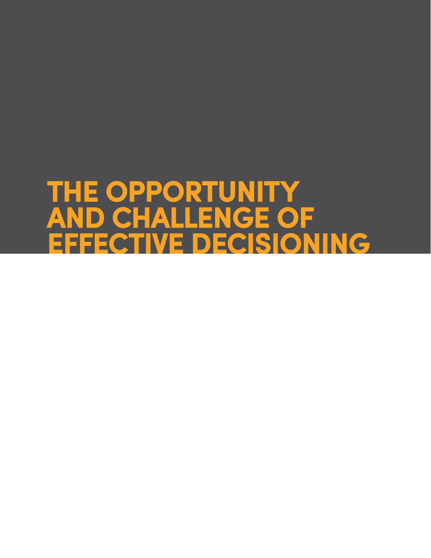# <span id="page-4-0"></span>**THE OPPORTUNITY AND CHALLENGE OF EFFECTIVE DECISIONING**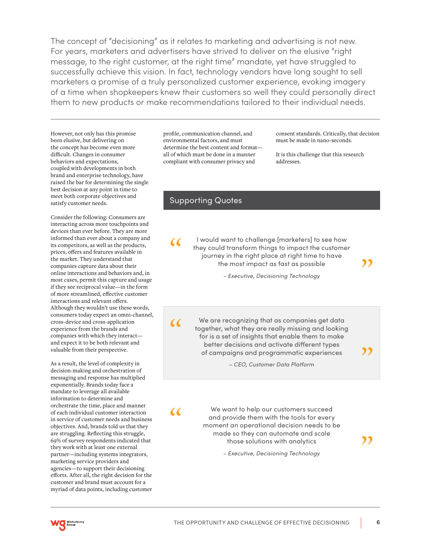The concept of "decisioning" as it relates to marketing and advertising is not new. For years, marketers and advertisers have strived to deliver on the elusive "right message, to the right customer, at the right time" mandate, yet have struggled to successfully achieve this vision. In fact, technology vendors have long sought to sell marketers a promise of a truly personalized customer experience, evoking imagery of a time when shopkeepers knew their customers so well they could personally direct them to new products or make recommendations tailored to their individual needs.

However, not only has this promise been elusive, but delivering on the concept has become even more difficult. Changes in consumer behaviors and expectations, coupled with developments in both brand and enterprise technology, have raised the bar for determining the single best decision at any point in time to meet both corporate objectives and satisfy customer needs.

Consider the following: Consumers are interacting across more touchpoints and devices than ever before. They are more informed than ever about a company and its competitors, as well as the products, prices, offers and features available in the market. They understand that companies capture data about their online interactions and behaviors and, in most cases, permit this capture and usage if they see reciprocal value—in the form of more streamlined, effective customer interactions and relevant offers. Although they wouldn't use these words, consumers today expect an omni-channel, cross-device and cross-application experience from the brands and companies with which they interact and expect it to be both relevant and valuable from their perspective.

As a result, the level of complexity in decision-making and orchestration of messaging and response has multiplied exponentially. Brands today face a mandate to leverage all available information to determine and orchestrate the time, place and manner of each individual customer interaction in service of customer needs and business objectives. And, brands told us that they are struggling. Reflecting this struggle, 69% of survey respondents indicated that they work with at least one external partner—including systems integrators, marketing service providers and agencies—to support their decisioning efforts. After all, the right decision for the customer and brand must account for a myriad of data points, including customer

profile, communication channel, and environmental factors, and must determine the best content and format all of which must be done in a manner compliant with consumer privacy and

consent standards. Critically, that decision must be made in nano-seconds.

It is this challenge that this research addresses.

### Supporting Quotes

I would want to challenge [marketers] to see how they could transform things to impact the customer journey in the right place at right time to have the most impact as fast as possible

"

*– Executive, Decisioning Technology*

 $\alpha$ 

 $\alpha$ 

 $\alpha$ 

We are recognizing that as companies get data together, what they are really missing and looking for is a set of insights that enable them to make better decisions and activate different types of campaigns and programmatic experiences

*– CEO, Customer Data Platform*

We want to help our customers succeed and provide them with the tools for every moment an operational decision needs to be made so they can automate and scale those solutions with analytics

"

"

*– Executive, Decisioning Technology*

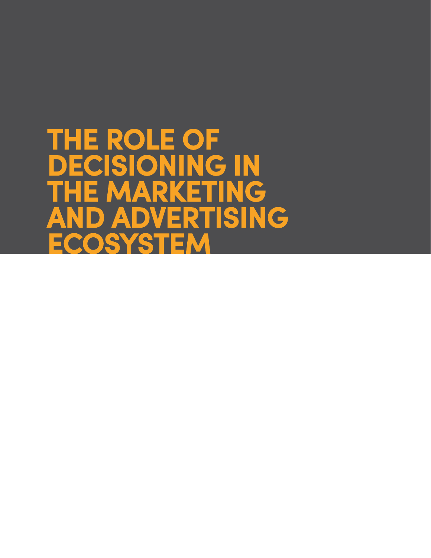<span id="page-6-0"></span>**THE ROLE OF DECISIONING IN THE MARKETING AND ADVERTISING ECOSYSTEM**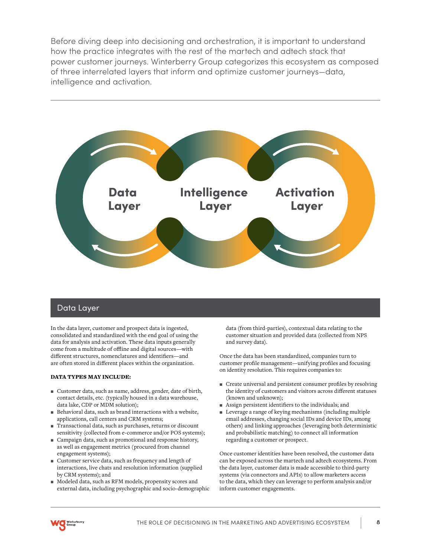Before diving deep into decisioning and orchestration, it is important to understand how the practice integrates with the rest of the martech and adtech stack that power customer journeys. Winterberry Group categorizes this ecosystem as composed of three interrelated layers that inform and optimize customer journeys—data, intelligence and activation.



### Data Layer

In the data layer, customer and prospect data is ingested, consolidated and standardized with the end goal of using the data for analysis and activation. These data inputs generally come from a multitude of offline and digital sources—with different structures, nomenclatures and identifiers—and are often stored in different places within the organization.

### DATA TYPES MAY INCLUDE:

- $\blacksquare$  Customer data, such as name, address, gender, date of birth, contact details, etc. (typically housed in a data warehouse, data lake, CDP or MDM solution);
- $\blacksquare$  Behavioral data, such as brand interactions with a website, applications, call centers and CRM systems;
- P Transactional data, such as purchases, returns or discount sensitivity (collected from e-commerce and/or POS systems);
- P Campaign data, such as promotional and response history, as well as engagement metrics (procured from channel engagement systems);
- **Exercise Customer service data, such as frequency and length of** interactions, live chats and resolution information (supplied by CRM systems); and
- $\blacksquare$  Modeled data, such as RFM models, propensity scores and external data, including psychographic and socio-demographic

data (from third-parties), contextual data relating to the customer situation and provided data (collected from NPS and survey data).

Once the data has been standardized, companies turn to customer profile management—unifying profiles and focusing on identity resolution. This requires companies to:

- P Create universal and persistent consumer profiles by resolving the identity of customers and visitors across different statuses (known and unknown);
- **Assign persistent identifiers to the individuals; and**
- **EXECUTE:** Leverage a range of keying mechanisms (including multiple email addresses, changing social IDs and device IDs, among others) and linking approaches (leveraging both deterministic and probabilistic matching) to connect all information regarding a customer or prospect.

Once customer identities have been resolved, the customer data can be exposed across the martech and adtech ecosystems. From the data layer, customer data is made accessible to third-party systems (via connectors and APIs) to allow marketers access to the data, which they can leverage to perform analysis and/or inform customer engagements.

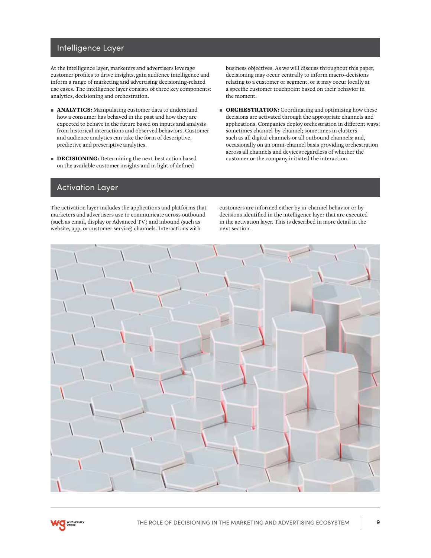## Intelligence Layer

At the intelligence layer, marketers and advertisers leverage customer profiles to drive insights, gain audience intelligence and inform a range of marketing and advertising decisioning-related use cases. The intelligence layer consists of three key components: analytics, decisioning and orchestration.

- **ANALYTICS:** Manipulating customer data to understand how a consumer has behaved in the past and how they are expected to behave in the future based on inputs and analysis from historical interactions and observed behaviors. Customer and audience analytics can take the form of descriptive, predictive and prescriptive analytics.
- **DECISIONING:** Determining the next-best action based on the available customer insights and in light of defined

business objectives. As we will discuss throughout this paper, decisioning may occur centrally to inform macro-decisions relating to a customer or segment, or it may occur locally at a specific customer touchpoint based on their behavior in the moment.

**P ORCHESTRATION:** Coordinating and optimizing how these decisions are activated through the appropriate channels and applications. Companies deploy orchestration in different ways: sometimes channel-by-channel; sometimes in clusters such as all digital channels or all outbound channels; and, occasionally on an omni-channel basis providing orchestration across all channels and devices regardless of whether the customer or the company initiated the interaction.

### Activation Layer

The activation layer includes the applications and platforms that marketers and advertisers use to communicate across outbound (such as email, display or Advanced TV) and inbound (such as website, app, or customer service) channels. Interactions with

customers are informed either by in-channel behavior or by decisions identified in the intelligence layer that are executed in the activation layer. This is described in more detail in the next section.

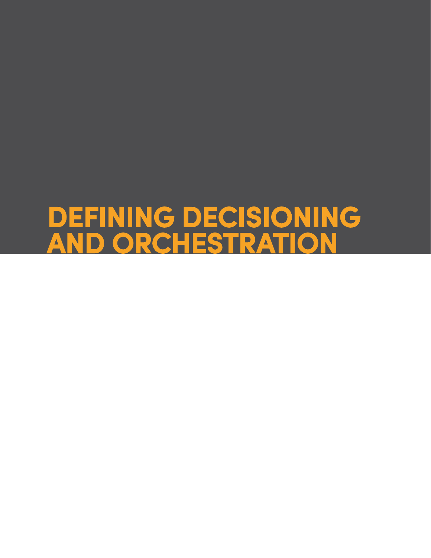# <span id="page-9-0"></span>**DEFINING DECISIONING AND ORCHESTRATION**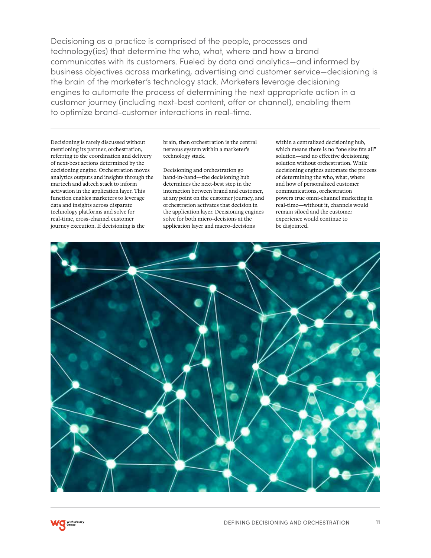Decisioning as a practice is comprised of the people, processes and technology(ies) that determine the who, what, where and how a brand communicates with its customers. Fueled by data and analytics—and informed by business objectives across marketing, advertising and customer service—decisioning is the brain of the marketer's technology stack. Marketers leverage decisioning engines to automate the process of determining the next appropriate action in a customer journey (including next-best content, offer or channel), enabling them to optimize brand-customer interactions in real-time.

Decisioning is rarely discussed without mentioning its partner, orchestration, referring to the coordination and delivery of next-best actions determined by the decisioning engine. Orchestration moves analytics outputs and insights through the martech and adtech stack to inform activation in the application layer. This function enables marketers to leverage data and insights across disparate technology platforms and solve for real-time, cross-channel customer journey execution. If decisioning is the

brain, then orchestration is the central nervous system within a marketer's technology stack.

Decisioning and orchestration go hand-in-hand—the decisioning hub determines the next-best step in the interaction between brand and customer, at any point on the customer journey, and orchestration activates that decision in the application layer. Decisioning engines solve for both micro-decisions at the application layer and macro-decisions

within a centralized decisioning hub, which means there is no "one size fits all" solution—and no effective decisioning solution without orchestration. While decisioning engines automate the process of determining the who, what, where and how of personalized customer communications, orchestration powers true omni-channel marketing in real-time—without it, channels would remain siloed and the customer experience would continue to be disjointed.

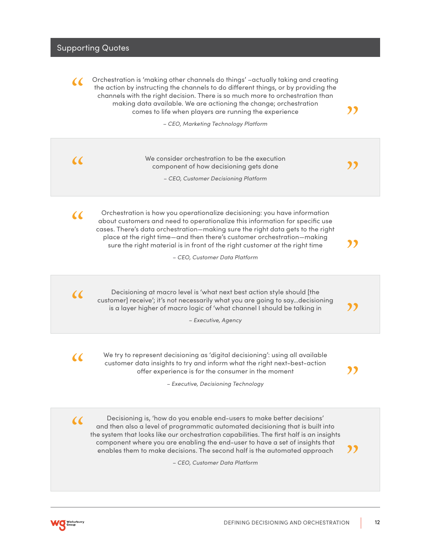### Supporting Quotes

Orchestration is 'making other channels do things' –actually taking and creating the action by instructing the channels to do different things, or by providing the channels with the right decision. There is so much more to orchestration than making data available. We are actioning the change; orchestration comes to life when players are running the experience  $\alpha$ 

*– CEO, Marketing Technology Platform*

We consider orchestration to be the execution<br>
component of how decisioning gets done<br>
- CEO, Customer Decisioning Platform We consider orchestration to be the execution component of how decisioning gets done *– CEO, Customer Decisioning Platform*

Orchestration is how you operationalize decisioning: you have information about customers and need to operationalize this information for specific use cases. There's data orchestration—making sure the right data gets to the right place at the right time—and then there's customer orchestration—making sure the right material is in front of the right customer at the right time

*– CEO, Customer Data Platform*

Construction of the customer] receive'; it's not necessarily what you are going to say...decisioning<br>is a layer higher of macro logic of 'what channel I should be talking in **a** is a layer higher of macro logic of 'what channel I should be talking in

*– Executive, Agency*

 $\alpha$ 

 $\alpha$ 

We try to represent decisioning as 'digital decisioning': using all available<br>customer data insights to try and inform what the right next-best-action<br>offer experience is for the consumer in the moment offer experience is for the consumer in the moment

*– Executive, Decisioning Technology*

Decisioning is, 'how do you enable end-users to make better decisions' and then also a level of programmatic automated decisioning that is built into the system that looks like our orchestration capabilities. The first half is an insights component where you are enabling the end-user to have a set of insights that enables them to make decisions. The second half is the automated approach

*– CEO, Customer Data Platform*



"

"

"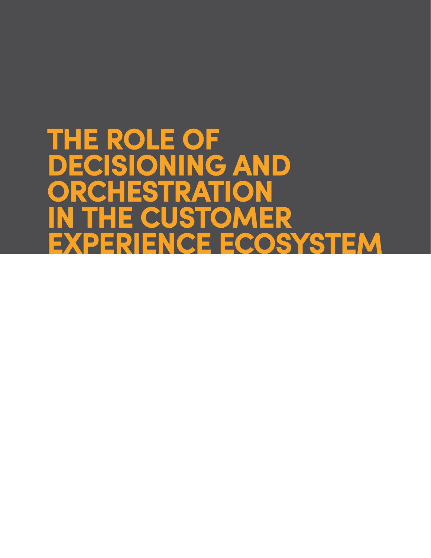# <span id="page-12-0"></span>**THE ROLE OF DECISIONING AND ORCHESTRATION IN THE CUSTOMER EXPERIENCE ECOSYSTEM**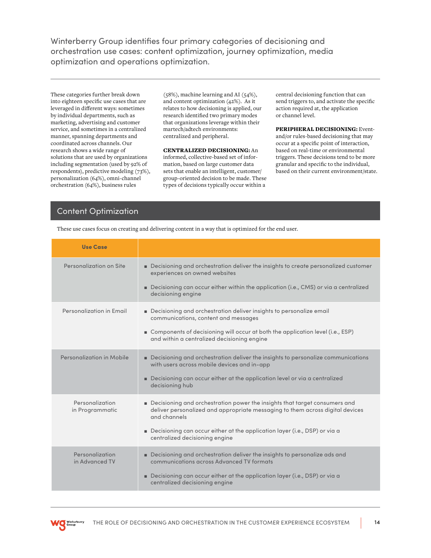Winterberry Group identifies four primary categories of decisioning and orchestration use cases: content optimization, journey optimization, media optimization and operations optimization.

These categories further break down into eighteen specific use cases that are leveraged in different ways: sometimes by individual departments, such as marketing, advertising and customer service, and sometimes in a centralized manner, spanning departments and coordinated across channels. Our research shows a wide range of solutions that are used by organizations including segmentation (used by 92% of respondents), predictive modeling (73%), personalization (64%), omni-channel orchestration (64%), business rules

(58%), machine learning and AI (54%), and content optimization (42%). As it relates to how decisioning is applied, our research identified two primary modes that organizations leverage within their martech/adtech environments: centralized and peripheral.

CENTRALIZED DECISIONING: An informed, collective-based set of information, based on large customer data sets that enable an intelligent, customer/ group-oriented decision to be made. These types of decisions typically occur within a

central decisioning function that can send triggers to, and activate the specific action required at, the application or channel level.

PERIPHERAL DECISIONING: Eventand/or rules-based decisioning that may occur at a specific point of interaction, based on real-time or environmental triggers. These decisions tend to be more granular and specific to the individual, based on their current environment/state.

## Content Optimization

These use cases focus on creating and delivering content in a way that is optimized for the end user.

| <b>Use Case</b>                    |                                                                                                                                                                                                                                   |
|------------------------------------|-----------------------------------------------------------------------------------------------------------------------------------------------------------------------------------------------------------------------------------|
| Personalization on Site            | Decisioning and orchestration deliver the insights to create personalized customer<br>experiences on owned websites<br>Decisioning can occur either within the application (i.e., CMS) or via a centralized<br>decisioning engine |
|                                    |                                                                                                                                                                                                                                   |
| Personalization in Email           | Decisioning and orchestration deliver insights to personalize email<br>communications, content and messages                                                                                                                       |
|                                    | ■ Components of decisioning will occur at both the application level (i.e., ESP)<br>and within a centralized decisioning engine                                                                                                   |
| Personalization in Mobile          | Decisioning and orchestration deliver the insights to personalize communications<br>with users across mobile devices and in-app                                                                                                   |
|                                    | Decisioning can occur either at the application level or via a centralized<br>decisioning hub                                                                                                                                     |
| Personalization<br>in Programmatic | Decisioning and orchestration power the insights that target consumers and<br>deliver personalized and appropriate messaging to them across digital devices<br>and channels                                                       |
|                                    | Decisioning can occur either at the application layer (i.e., DSP) or via a<br>centralized decisioning engine                                                                                                                      |
| Personalization<br>in Advanced TV  | Decisioning and orchestration deliver the insights to personalize ads and<br>communications across Advanced TV formats                                                                                                            |
|                                    | Decisioning can occur either at the application layer (i.e., DSP) or via a<br>centralized decisioning engine                                                                                                                      |

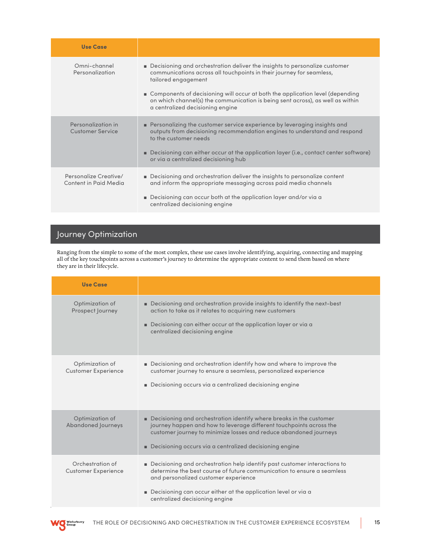| <b>Use Case</b>                                |                                                                                                                                                                                                                                                                                                                                                                                      |
|------------------------------------------------|--------------------------------------------------------------------------------------------------------------------------------------------------------------------------------------------------------------------------------------------------------------------------------------------------------------------------------------------------------------------------------------|
| Omni-channel<br>Personalization                | ■ Decisioning and orchestration deliver the insights to personalize customer<br>communications across all touchpoints in their journey for seamless,<br>tailored engagement<br>■ Components of decisioning will occur at both the application level (depending<br>on which channel(s) the communication is being sent across), as well as within<br>a centralized decisioning engine |
| Personalization in<br><b>Customer Service</b>  | Personalizing the customer service experience by leveraging insights and<br>outputs from decisioning recommendation engines to understand and respond<br>to the customer needs<br><b>Decisioning can either occur at the application layer (i.e., contact center software)</b><br>or via a centralized decisioning hub                                                               |
| Personalize Creative/<br>Content in Paid Media | ■ Decisioning and orchestration deliver the insights to personalize content<br>and inform the appropriate messaging across paid media channels<br>■ Decisioning can occur both at the application layer and/or via a<br>centralized decisioning engine                                                                                                                               |

# Journey Optimization

Ranging from the simple to some of the most complex, these use cases involve identifying, acquiring, connecting and mapping all of the key touchpoints across a customer's journey to determine the appropriate content to send them based on where they are in their lifecycle.

| Use Case                                       |                                                                                                                                                                                                                                                                                                   |
|------------------------------------------------|---------------------------------------------------------------------------------------------------------------------------------------------------------------------------------------------------------------------------------------------------------------------------------------------------|
| Optimization of<br>Prospect Journey            | ■ Decisioning and orchestration provide insights to identify the next-best<br>action to take as it relates to acquiring new customers<br>■ Decisioning can either occur at the application layer or via a<br>centralized decisioning engine                                                       |
| Optimization of<br><b>Customer Experience</b>  | Decisioning and orchestration identify how and where to improve the<br>customer journey to ensure a seamless, personalized experience<br>Decisioning occurs via a centralized decisioning engine<br>٠.                                                                                            |
| Optimization of<br>Abandoned Journeys          | $\blacksquare$ Decisioning and orchestration identify where breaks in the customer<br>journey happen and how to leverage different touchpoints across the<br>customer journey to minimize losses and reduce abandoned journeys<br>Decisioning occurs via a centralized decisioning engine<br>٠    |
| Orchestration of<br><b>Customer Experience</b> | Decisioning and orchestration help identify past customer interactions to<br>determine the best course of future communication to ensure a seamless<br>and personalized customer experience<br>■ Decisioning can occur either at the application level or via a<br>centralized decisioning engine |

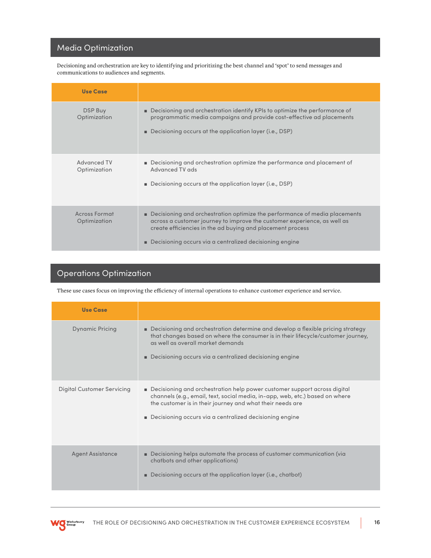## Media Optimization

Decisioning and orchestration are key to identifying and prioritizing the best channel and 'spot' to send messages and communications to audiences and segments.

| <b>Use Case</b>                      |                                                                                                                                                                                                                                                                                              |
|--------------------------------------|----------------------------------------------------------------------------------------------------------------------------------------------------------------------------------------------------------------------------------------------------------------------------------------------|
| DSP Buy<br>Optimization              | Decisioning and orchestration identify KPIs to optimize the performance of<br>programmatic media campaigns and provide cost-effective ad placements<br>Decisioning occurs at the application layer (i.e., DSP)                                                                               |
| Advanced TV<br>Optimization          | Decisioning and orchestration optimize the performance and placement of<br>Advanced TV ads<br>$\blacksquare$ Decisioning occurs at the application layer (i.e., DSP)                                                                                                                         |
| <b>Across Format</b><br>Optimization | <b>Decisioning and orchestration optimize the performance of media placements</b><br>across a customer journey to improve the customer experience, as well as<br>create efficiencies in the ad buying and placement process<br>Decisioning occurs via a centralized decisioning engine<br>п. |

## Operations Optimization

These use cases focus on improving the efficiency of internal operations to enhance customer experience and service.

| <b>Use Case</b>                   |                                                                                                                                                                                                                                                                                  |
|-----------------------------------|----------------------------------------------------------------------------------------------------------------------------------------------------------------------------------------------------------------------------------------------------------------------------------|
| <b>Dynamic Pricing</b>            | ■ Decisioning and orchestration determine and develop a flexible pricing strategy<br>that changes based on where the consumer is in their lifecycle/customer journey,<br>as well as overall market demands<br>Decisioning occurs via a centralized decisioning engine            |
| <b>Digital Customer Servicing</b> | Decisioning and orchestration help power customer support across digital<br>channels (e.g., email, text, social media, in-app, web, etc.) based on where<br>the customer is in their journey and what their needs are<br>Decisioning occurs via a centralized decisioning engine |
| <b>Agent Assistance</b>           | ■ Decisioning helps automate the process of customer communication (via<br>chatbots and other applications)<br>Decisioning occurs at the application layer (i.e., chatbot)<br>п                                                                                                  |

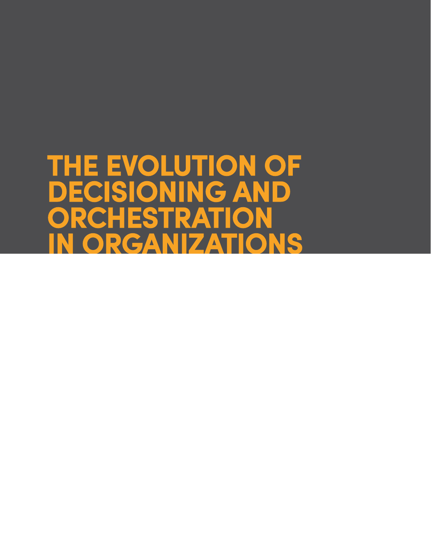# <span id="page-16-0"></span>**THE EVOLUTION OF DECISIONING AND ORCHESTRATION IN ORGANIZATIONS**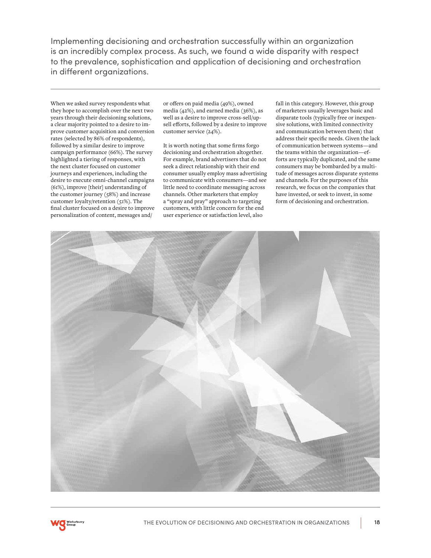Implementing decisioning and orchestration successfully within an organization is an incredibly complex process. As such, we found a wide disparity with respect to the prevalence, sophistication and application of decisioning and orchestration in different organizations.

When we asked survey respondents what they hope to accomplish over the next two years through their decisioning solutions, a clear majority pointed to a desire to improve customer acquisition and conversion rates (selected by 86% of respondents), followed by a similar desire to improve campaign performance (66%). The survey highlighted a tiering of responses, with the next cluster focused on customer journeys and experiences, including the desire to execute omni-channel campaigns (61%), improve [their] understanding of the customer journey (58%) and increase customer loyalty/retention (51%). The final cluster focused on a desire to improve personalization of content, messages and/

or offers on paid media (49%), owned media (42%), and earned media (36%), as well as a desire to improve cross-sell/upsell efforts, followed by a desire to improve customer service (24%).

It is worth noting that some firms forgo decisioning and orchestration altogether. For example, brand advertisers that do not seek a direct relationship with their end consumer usually employ mass advertising to communicate with consumers—and see little need to coordinate messaging across channels. Other marketers that employ a "spray and pray" approach to targeting customers, with little concern for the end user experience or satisfaction level, also

fall in this category. However, this group of marketers usually leverages basic and disparate tools (typically free or inexpensive solutions, with limited connectivity and communication between them) that address their specific needs. Given the lack of communication between systems—and the teams within the organization—efforts are typically duplicated, and the same consumers may be bombarded by a multitude of messages across disparate systems and channels. For the purposes of this research, we focus on the companies that have invested, or seek to invest, in some form of decisioning and orchestration.



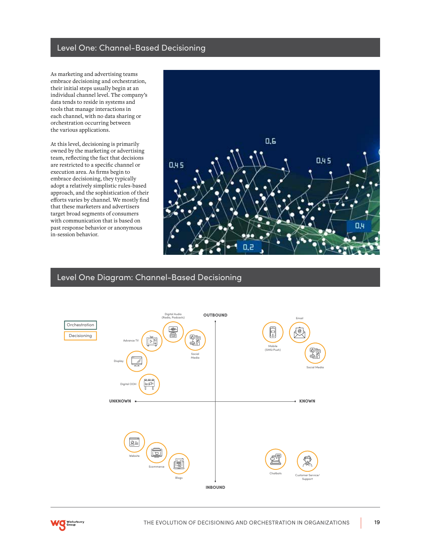## Level One: Channel-Based Decisioning

As marketing and advertising teams embrace decisioning and orchestration, their initial steps usually begin at an individual channel level. The company's data tends to reside in systems and tools that manage interactions in each channel, with no data sharing or orchestration occurring between the various applications.

At this level, decisioning is primarily owned by the marketing or advertising team, reflecting the fact that decisions are restricted to a specific channel or execution area. As firms begin to embrace decisioning, they typically adopt a relatively simplistic rules-based approach, and the sophistication of their efforts varies by channel. We mostly find that these marketers and advertisers target broad segments of consumers with communication that is based on past response behavior or anonymous in-session behavior.



### Level One Diagram: Channel-Based Decisioning



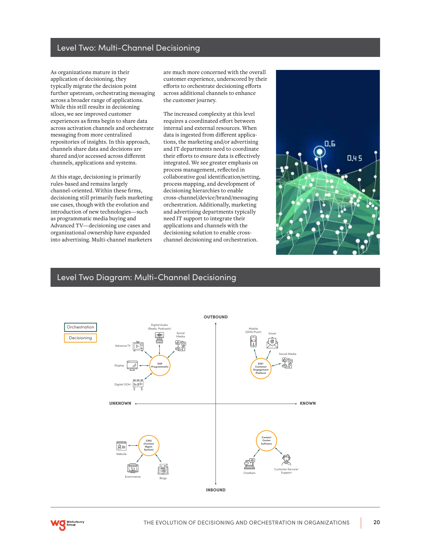### Level Two: Multi-Channel Decisioning

As organizations mature in their application of decisioning, they typically migrate the decision point further upstream, orchestrating messaging across a broader range of applications. While this still results in decisioning siloes, we see improved customer experiences as firms begin to share data across activation channels and orchestrate messaging from more centralized repositories of insights. In this approach, channels share data and decisions are shared and/or accessed across different channels, applications and systems.

At this stage, decisioning is primarily rules-based and remains largely channel-oriented. Within these firms, decisioning still primarily fuels marketing use cases, though with the evolution and introduction of new technologies—such as programmatic media buying and Advanced TV—decisioning use cases and organizational ownership have expanded into advertising. Multi-channel marketers

are much more concerned with the overall customer experience, underscored by their efforts to orchestrate decisioning efforts across additional channels to enhance the customer journey.

The increased complexity at this level requires a coordinated effort between internal and external resources. When data is ingested from different applications, the marketing and/or advertising and IT departments need to coordinate their efforts to ensure data is effectively integrated. We see greater emphasis on process management, reflected in collaborative goal identification/setting, process mapping, and development of decisioning hierarchies to enable cross-channel/device/brand/messaging orchestration. Additionally, marketing and advertising departments typically need IT support to integrate their applications and channels with the decisioning solution to enable crosschannel decisioning and orchestration.



## Level Two Diagram: Multi-Channel Decisioning

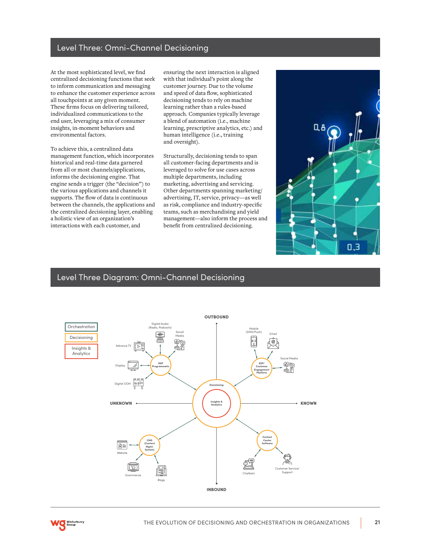### Level Three: Omni-Channel Decisioning

At the most sophisticated level, we find centralized decisioning functions that seek to inform communication and messaging to enhance the customer experience across all touchpoints at any given moment. These firms focus on delivering tailored, individualized communications to the end user, leveraging a mix of consumer insights, in-moment behaviors and environmental factors.

To achieve this, a centralized data management function, which incorporates historical and real-time data garnered from all or most channels/applications, informs the decisioning engine. That engine sends a trigger (the "decision") to the various applications and channels it supports. The flow of data is continuous between the channels, the applications and the centralized decisioning layer, enabling a holistic view of an organization's interactions with each customer, and

ensuring the next interaction is aligned with that individual's point along the customer journey. Due to the volume and speed of data flow, sophisticated decisioning tends to rely on machine learning rather than a rules-based approach. Companies typically leverage a blend of automation (i.e., machine learning, prescriptive analytics, etc.) and human intelligence (i.e., training and oversight).

Structurally, decisioning tends to span all customer-facing departments and is leveraged to solve for use cases across multiple departments, including marketing, advertising and servicing. Other departments spanning marketing/ advertising, IT, service, privacy—as well as risk, compliance and industry-specific teams, such as merchandising and yield management—also inform the process and benefit from centralized decisioning.



### Level Three Diagram: Omni-Channel Decisioning



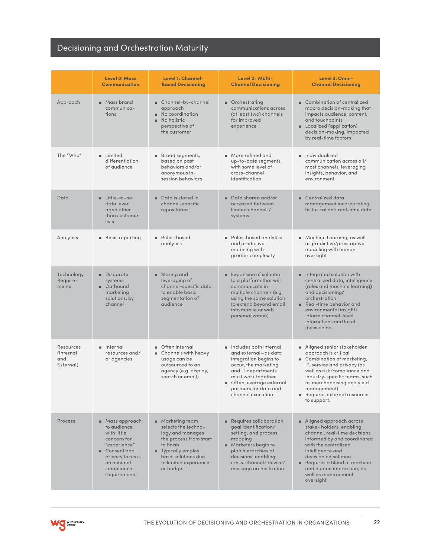# Decisioning and Orchestration Maturity

|                                                    | Level 0: Mass<br><b>Communication</b>                                                                                                                                       | Level 1: Channel-<br><b>Based Decisioning</b>                                                                                                                                                      | Level 2: Multi-<br><b>Channel Decisioning</b>                                                                                                                                                                          | Level 3: Omni-<br><b>Channel Decisioning</b>                                                                                                                                                                                                                                           |
|----------------------------------------------------|-----------------------------------------------------------------------------------------------------------------------------------------------------------------------------|----------------------------------------------------------------------------------------------------------------------------------------------------------------------------------------------------|------------------------------------------------------------------------------------------------------------------------------------------------------------------------------------------------------------------------|----------------------------------------------------------------------------------------------------------------------------------------------------------------------------------------------------------------------------------------------------------------------------------------|
| Approach                                           | ■ Mass brand<br>communica-<br>tions                                                                                                                                         | ■ Channel-by-channel<br>approach<br>No coordination<br>No holistic<br>×.<br>perspective of<br>the customer                                                                                         | ■ Orchestrating<br>communications across<br>(at least two) channels<br>for improved<br>experience                                                                                                                      | Combination of centralized<br>macro decision-making that<br>impacts audience, content,<br>and touchpoints<br>■ Localized (application)<br>decision-making, impacted<br>by real-time factors                                                                                            |
| The "Who"                                          | <b>Limited</b><br>differentiation<br>of audience                                                                                                                            | ■ Broad segments,<br>based on past<br>behaviors and/or<br>anonymous in-<br>session behaviors                                                                                                       | More refined and<br>up-to-date segments<br>with some level of<br>cross-channel<br>identification                                                                                                                       | ulla Individualized<br>communication across all/<br>most channels, leveraging<br>insights, behavior, and<br>environment                                                                                                                                                                |
| Data                                               | ■ Little-to-no<br>data lever<br>aged other<br>than customer<br>lists                                                                                                        | $\blacksquare$ Data is stored in<br>channel-specific<br>repositories                                                                                                                               | Data shared and/or<br>accessed between<br>limited channels/<br>systems                                                                                                                                                 | $\blacksquare$ Centralized data<br>management incorporating<br>historical and real-time data                                                                                                                                                                                           |
| Analytics                                          | <b>Basic reporting</b>                                                                                                                                                      | Rules-based<br>analytics                                                                                                                                                                           | Rules-based analytics<br>and predictive<br>modeling with<br>greater complexity                                                                                                                                         | $\blacksquare$ Machine Learning, as well<br>as predictive/prescriptive<br>modeling with human<br>oversight                                                                                                                                                                             |
| Technology<br>Require-<br>ments                    | <b>Disparate</b><br>systems<br>■ Outbound<br>marketing<br>solutions, by<br>channel                                                                                          | ■ Storing and<br>leveraging of<br>channel-specific data<br>to enable basic<br>segmentation of<br>audience                                                                                          | Expansion of solution<br>to a platform that will<br>communicate in<br>multiple channels (e.g.<br>using the same solution<br>to extend beyond email<br>into mobile or web<br>personalization)                           | <b>n</b> Integrated solution with<br>centralized data, intelligence<br>(rules and machine learning)<br>and decisioning/<br>orchestration<br>$\blacksquare$ Real-time behavior and<br>environmental insights<br>inform channel-level<br>interactions and local<br>decisioning           |
| Resources<br><i>(Internal)</i><br>and<br>External) | u Internal<br>resources and/<br>or agencies                                                                                                                                 | ■ Often internal<br>■ Channels with heavy<br>usage can be<br>outsourced to an<br>agency (e.g. display,<br>search or email)                                                                         | n Includes both internal<br>and external—as data<br>integration begins to<br>occur, the marketing<br>and IT departments<br>must work together<br>Often leverage external<br>partners for data and<br>channel execution | Aligned senior stakeholder<br>approach is critical<br>Combination of marketing,<br>IT, service and privacy (as<br>well as risk/compliance and<br>industry-specific teams, such<br>as merchandising and yield<br>management)<br>Requires external resources<br>to support.              |
| Process                                            | $\blacksquare$ Mass approach<br>to audience,<br>with little<br>concern for<br>"experience"<br>■ Consent and<br>privacy focus is<br>on minimal<br>compliance<br>requirements | $\blacksquare$ Marketing team<br>selects the techno-<br>logy and manages<br>the process from start<br>to finish<br>■ Typically employ<br>basic solutions due<br>to limited experience<br>or budget | Requires collaboration,<br>goal identification/<br>setting, and process<br>mapping<br>■ Marketers begin to<br>plan hierarchies of<br>decisions, enabling<br>cross-channel/device/<br>message orchestration             | ■ Aligned approach across<br>stake-holders, enabling<br>channel, real-time decisions<br>informed by and coordinated<br>with the centralized<br>intelligence and<br>decisioning solution<br>Requires a blend of machine<br>and human interaction, as<br>well as management<br>oversight |

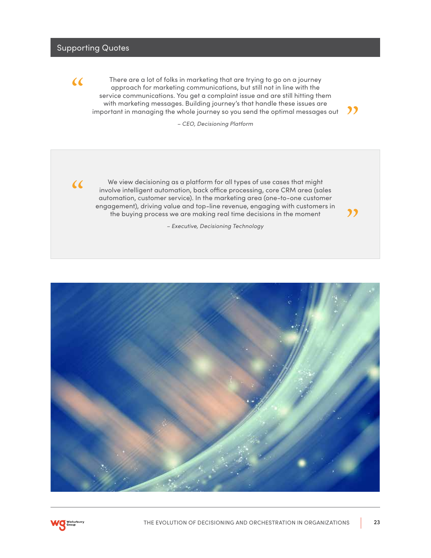## Supporting Quotes



There are a lot of folks in marketing that are trying to go on a journey approach for marketing communications, but still not in line with the service communications. You get a complaint issue and are still hitting them with marketing messages. Building journey's that handle these issues are important in managing the whole journey so you send the optimal messages out

 $<sub>22</sub>$ </sub>

"

*– CEO, Decisioning Platform*



We view decisioning as a platform for all types of use cases that might involve intelligent automation, back office processing, core CRM area (sales automation, customer service). In the marketing area (one-to-one customer engagement), driving value and top-line revenue, engaging with customers in the buying process we are making real time decisions in the moment

*– Executive, Decisioning Technology*



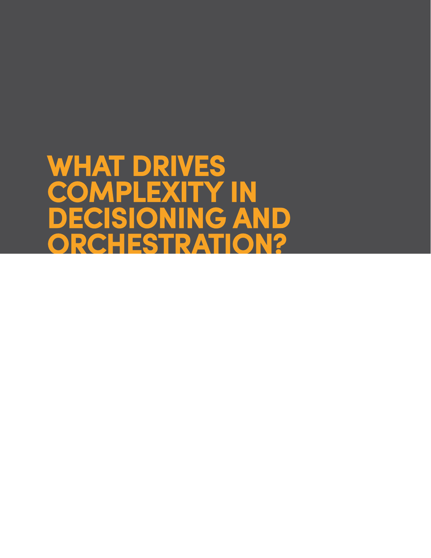# <span id="page-23-0"></span>**WHAT DRIVES COMPLEXITY IN DECISIONING AND ORCHESTRATION?**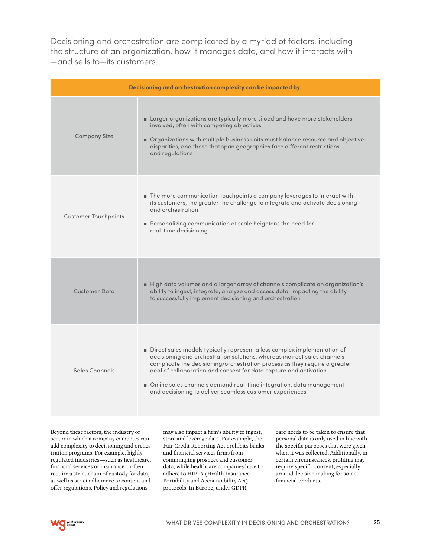Decisioning and orchestration are complicated by a myriad of factors, including the structure of an organization, how it manages data, and how it interacts with —and sells to—its customers.

| Decisioning and orchestration complexity can be impacted by: |                                                                                                                                                                                                                                                                                                                                                                                                                                            |  |
|--------------------------------------------------------------|--------------------------------------------------------------------------------------------------------------------------------------------------------------------------------------------------------------------------------------------------------------------------------------------------------------------------------------------------------------------------------------------------------------------------------------------|--|
| <b>Company Size</b>                                          | Larger organizations are typically more siloed and have more stakeholders<br>involved, often with competing objectives<br>Organizations with multiple business units must balance resource and objective<br>disparities, and those that span geographies face different restrictions<br>and regulations                                                                                                                                    |  |
| <b>Customer Touchpoints</b>                                  | The more communication touchpoints a company leverages to interact with<br>its customers, the greater the challenge to integrate and activate decisioning<br>and orchestration<br>Personalizing communication at scale heightens the need for<br>real-time decisioning                                                                                                                                                                     |  |
| <b>Customer Data</b>                                         | High data volumes and a larger array of channels complicate an organization's<br>ability to ingest, integrate, analyze and access data, impacting the ability<br>to successfully implement decisioning and orchestration                                                                                                                                                                                                                   |  |
| Sales Channels                                               | Direct sales models typically represent a less complex implementation of<br>decisioning and orchestration solutions, whereas indirect sales channels<br>complicate the decisioning/orchestration process as they require a greater<br>deal of collaboration and consent for data capture and activation<br>Online sales channels demand real-time integration, data management<br>and decisioning to deliver seamless customer experiences |  |

Beyond these factors, the industry or sector in which a company competes can add complexity to decisioning and orchestration programs. For example, highly regulated industries—such as healthcare, financial services or insurance—often require a strict chain of custody for data, as well as strict adherence to content and offer regulations. Policy and regulations

may also impact a firm's ability to ingest, store and leverage data. For example, the Fair Credit Reporting Act prohibits banks and financial services firms from commingling prospect and customer data, while healthcare companies have to adhere to HIPPA (Health Insurance Portability and Accountability Act) protocols. In Europe, under GDPR,

care needs to be taken to ensure that personal data is only used in line with the specific purposes that were given when it was collected. Additionally, in certain circumstances, profiling may require specific consent, especially around decision making for some financial products.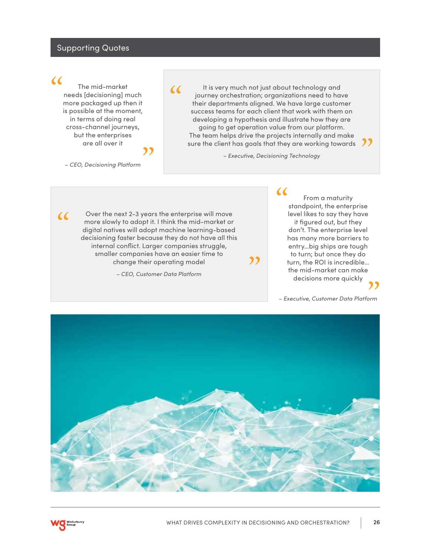### Supporting Quotes

## $\alpha$

 $\alpha$ 

The mid-market needs [decisioning] much more packaged up then it is possible at the moment, in terms of doing real cross-channel journeys, but the enterprises are all over it ,,

 $\alpha$ 

It is very much not just about technology and journey orchestration; organizations need to have their departments aligned. We have large customer success teams for each client that work with them on developing a hypothesis and illustrate how they are going to get operation value from our platform. The team helps drive the projects internally and make going to get operation value from our platform.<br>The team helps drive the projects internally and make<br>sure the client has goals that they are working towards

*– Executive, Decisioning Technology*

,,

 $\alpha$ 

*– CEO, Decisioning Platform*

Over the next 2-3 years the enterprise will move more slowly to adopt it. I think the mid-market or digital natives will adopt machine learning-based decisioning faster because they do not have all this internal conflict. Larger companies struggle, smaller companies have an easier time to change their operating model

*– CEO, Customer Data Platform*

From a maturity standpoint, the enterprise level likes to say they have it figured out, but they don't. The enterprise level has many more barriers to entry…big ships are tough

to turn; but once they do turn, the ROI is incredible… the mid-market can make decisions more quickly ,<br>"

*– Executive, Customer Data Platform*



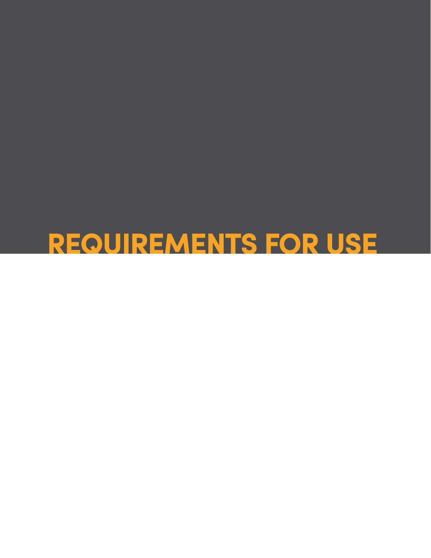# <span id="page-26-0"></span>**REQUIREMENTS FOR USE**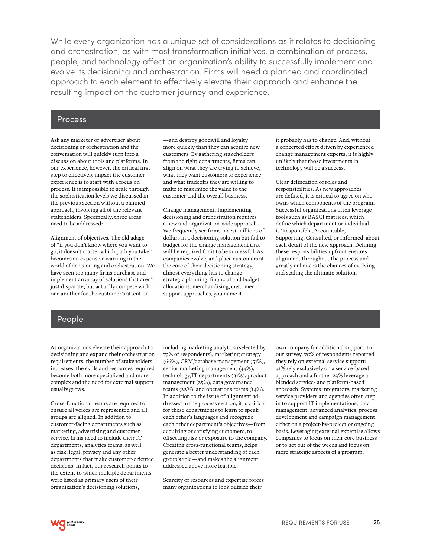While every organization has a unique set of considerations as it relates to decisioning and orchestration, as with most transformation initiatives, a combination of process, people, and technology affect an organization's ability to successfully implement and evolve its decisioning and orchestration. Firms will need a planned and coordinated approach to each element to effectively elevate their approach and enhance the resulting impact on the customer journey and experience.

### Process

Ask any marketer or advertiser about decisioning or orchestration and the conversation will quickly turn into a discussion about tools and platforms. In our experience, however, the critical first step to effectively impact the customer experience is to start with a focus on process. It is impossible to scale through the sophistication levels we discussed in the previous section without a planned approach, involving all of the relevant stakeholders. Specifically, three areas need to be addressed:

Alignment of objectives. The old adage of "if you don't know where you want to go, it doesn't matter which path you take" becomes an expensive warning in the world of decisioning and orchestration. We have seen too many firms purchase and implement an array of solutions that aren't just disparate, but actually compete with one another for the customer's attention

—and destroy goodwill and loyalty more quickly than they can acquire new customers. By gathering stakeholders from the right departments, firms can align on what they are trying to achieve, what they want customers to experience and what tradeoffs they are willing to make to maximize the value to the customer and the overall business.

Change management. Implementing decisioning and orchestration requires a new and organization-wide approach. We frequently see firms invest millions of dollars in a decisioning solution but fail to budget for the change management that will be required for it to be successful. As companies evolve, and place customers at the core of their decisioning strategy, almost everything has to change strategic planning, financial and budget allocations, merchandising, customer support approaches, you name it,

it probably has to change. And, without a concerted effort driven by experienced change management experts, it is highly unlikely that those investments in technology will be a success.

Clear delineation of roles and responsibilities. As new approaches are defined, it is critical to agree on who owns which components of the program. Successful organizations often leverage tools such as RASCI matrices, which define which department or individual is 'Responsible, Accountable, Supporting, Consulted, or Informed' about each detail of the new approach. Defining these responsibilities upfront ensures alignment throughout the process and greatly enhances the chances of evolving and scaling the ultimate solution.

### People

As organizations elevate their approach to decisioning and expand their orchestration requirements, the number of stakeholders increases, the skills and resources required become both more specialized and more complex and the need for external support usually grows.

Cross-functional teams are required to ensure all voices are represented and all groups are aligned. In addition to customer-facing departments such as marketing, advertising and customer service, firms need to include their IT departments, analytics teams, as well as risk, legal, privacy and any other departments that make customer-oriented decisions. In fact, our research points to the extent to which multiple departments were listed as primary users of their organization's decisioning solutions,

including marketing analytics (selected by 73% of respondents), marketing strategy (66%), CRM/database management (51%), senior marketing management (44%), technology/IT departments (31%), product management (25%), data governance teams (22%), and operations teams (14%). In addition to the issue of alignment addressed in the process section, it is critical for these departments to learn to speak each other's languages and recognize each other department's objectives—from acquiring or satisfying customers, to offsetting risk or exposure to the company. Creating cross-functional teams, helps generate a better understanding of each group's role—and makes the alignment addressed above more feasible.

Scarcity of resources and expertise forces many organizations to look outside their

own company for additional support. In our survey, 70% of respondents reported they rely on external service support: 41% rely exclusively on a service-based approach and a further 29% leverage a blended service- and platform-based approach. Systems integrators, marketing service providers and agencies often step in to support IT implementations, data management, advanced analytics, process development and campaign management, either on a project-by-project or ongoing basis. Leveraging external expertise allows companies to focus on their core business or to get out of the weeds and focus on more strategic aspects of a program.

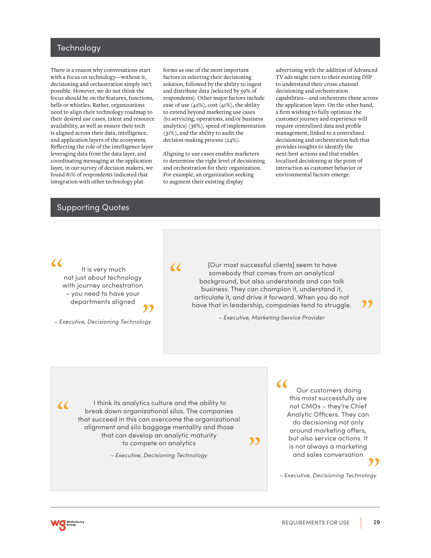### Technology

There is a reason why conversations start with a focus on technology—without it, decisioning and orchestration simply isn't possible. However, we do not think the focus should be on the features, functions, bells or whistles. Rather, organizations need to align their technology roadmap to their desired use cases, talent and resource availability, as well as ensure their tech is aligned across their data, intelligence, and application layers of the ecosystem. Reflecting the role of the intelligence layer leveraging data from the data layer, and coordinating messaging at the application layer, in our survey of decision makers, we found 81% of respondents indicated that integration with other technology platforms as one of the most important factors in selecting their decisioning solution, followed by the ability to ingest and distribute data (selected by 59% of respondents). Other major factors include ease of use (42%), cost (41%), the ability to extend beyond marketing use cases (to servicing, operations, and/or business analytics) (36%), speed of implementation (31%), and the ability to audit the decision-making process (24%).

Aligning to use cases enables marketers to determine the right level of decisioning and orchestration for their organization. For example, an organization seeking to augment their existing display

advertising with the addition of Advanced TV ads might turn to their existing DSP to understand their cross-channel decisioning and orchestration capabilities—and orchestrate these across the application layer. On the other hand, a firm wishing to fully optimize the customer journey and experience will require centralized data and profile management, linked to a centralized decisioning and orchestration hub that provides insights to identify the next-best actions and that enables localized decisioning at the point of interaction as customer behavior or environmental factors emerge.

### Supporting Quotes

### $\alpha$

 It is very much not just about technology with journey orchestration – you need to have your departments aligned

# ,<br>"

*– Executive, Decisioning Technology*

# $\alpha$

 [Our most successful clients] seem to have somebody that comes from an analytical background, but also understands and can talk business. They can champion it, understand it, articulate it, and drive it forward. When you do not have that in leadership, companies tend to struggle.

*– Executive, Marketing Service Provider*

,,

 I think its analytics culture and the ability to break down organizational silos. The companies that succeed in this can overcome the organizational alignment and silo baggage mentality and those that can develop an analytic maturity to compete on analytics

*– Executive, Decisioning Technology*

 Our customers doing this most successfully are not CMOs – they're Chief Analytic Officers. They can do decisioning not only around marketing offers, but also service actions. It is not always a marketing and sales conversation  $\alpha$ ,<br>"

"

*– Executive, Decisioning Technology*



 $\alpha$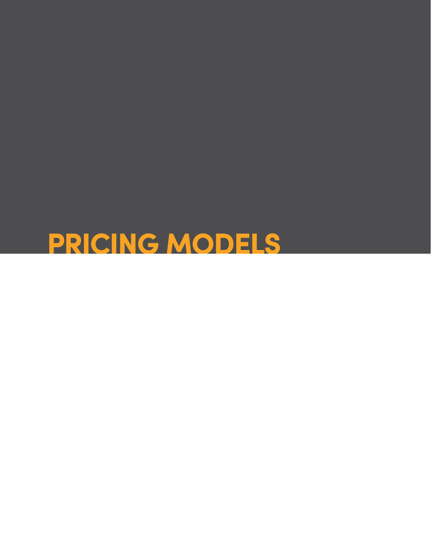<span id="page-29-0"></span>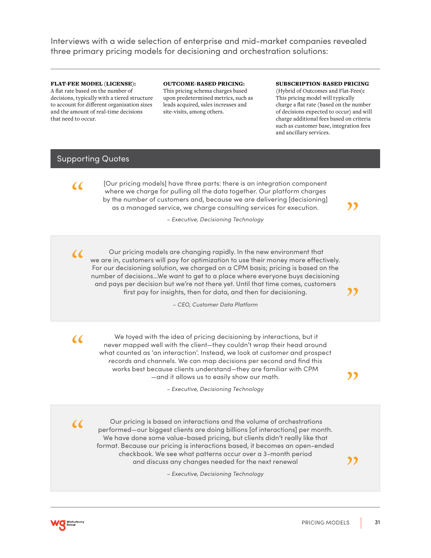Interviews with a wide selection of enterprise and mid-market companies revealed three primary pricing models for decisioning and orchestration solutions:

### FLAT-FEE MODEL (LICENSE):

A flat rate based on the number of decisions, typically with a tiered structure to account for different organization sizes and the amount of real-time decisions that need to occur.

OUTCOME-BASED PRICING: This pricing schema charges based upon predetermined metrics, such as leads acquired, sales increases and site-visits, among others.

### SUBSCRIPTION-BASED PRICING

(Hybrid of Outcomes and Flat-Fees): This pricing model will typically charge a flat rate (based on the number of decisions expected to occur) and will charge additional fees based on criteria such as customer base, integration fees and ancillary services.

"

"

"

## Supporting Quotes

 $\alpha$ 

 $\alpha$ 

[Our pricing models] have three parts: there is an integration component where we charge for pulling all the data together. Our platform charges by the number of customers and, because we are delivering [decisioning] as a managed service, we charge consulting services for execution.

*– Executive, Decisioning Technology*

 Our pricing models are changing rapidly. In the new environment that we are in, customers will pay for optimization to use their money more effectively. For our decisioning solution, we charged on a CPM basis; pricing is based on the number of decisions…We want to get to a place where everyone buys decisioning and pays per decision but we're not there yet. Until that time comes, customers first pay for insights, then for data, and then for decisioning.

*– CEO, Customer Data Platform*

 We toyed with the idea of pricing decisioning by interactions, but it never mapped well with the client—they couldn't wrap their head around what counted as 'an interaction'. Instead, we look at customer and prospect records and channels. We can map decisions per second and find this works best because clients understand—they are familiar with CPM —and it allows us to easily show our math.

*– Executive, Decisioning Technology*

 Our pricing is based on interactions and the volume of orchestrations performed—our biggest clients are doing billions [of interactions] per month. We have done some value-based pricing, but clients didn't really like that format. Because our pricing is interactions based, it becomes an open-ended checkbook. We see what patterns occur over a 3-month period and discuss any changes needed for the next renewal

*– Executive, Decisioning Technology*



 $\alpha$ 

 $\alpha$ 

,,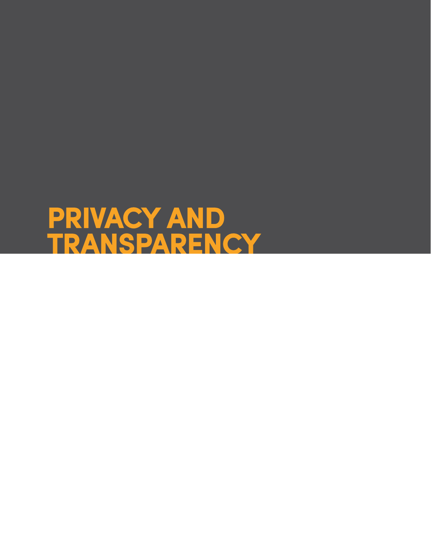# <span id="page-31-0"></span>**PRIVACY AND TRANSPARENCY**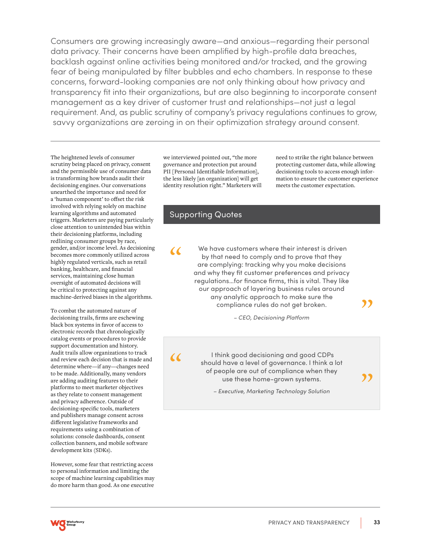Consumers are growing increasingly aware—and anxious—regarding their personal data privacy. Their concerns have been amplified by high-profile data breaches, backlash against online activities being monitored and/or tracked, and the growing fear of being manipulated by filter bubbles and echo chambers. In response to these concerns, forward-looking companies are not only thinking about how privacy and transparency fit into their organizations, but are also beginning to incorporate consent management as a key driver of customer trust and relationships—not just a legal requirement. And, as public scrutiny of company's privacy regulations continues to grow, savvy organizations are zeroing in on their optimization strategy around consent.

The heightened levels of consumer scrutiny being placed on privacy, consent and the permissible use of consumer data is transforming how brands audit their decisioning engines. Our conversations unearthed the importance and need for a 'human component' to offset the risk involved with relying solely on machine learning algorithms and automated triggers. Marketers are paying particularly close attention to unintended bias within their decisioning platforms, including redlining consumer groups by race, gender, and/or income level. As decisioning becomes more commonly utilized across highly regulated verticals, such as retail banking, healthcare, and financial services, maintaining close human oversight of automated decisions will be critical to protecting against any machine-derived biases in the algorithms.

To combat the automated nature of decisioning trails, firms are eschewing black box systems in favor of access to electronic records that chronologically catalog events or procedures to provide support documentation and history. Audit trails allow organizations to track and review each decision that is made and determine where—if any—changes need to be made. Additionally, many vendors are adding auditing features to their platforms to meet marketer objectives as they relate to consent management and privacy adherence. Outside of decisioning-specific tools, marketers and publishers manage consent across different legislative frameworks and requirements using a combination of solutions: console dashboards, consent collection banners, and mobile software development kits (SDKs).

However, some fear that restricting access to personal information and limiting the scope of machine learning capabilities may do more harm than good. As one executive

we interviewed pointed out, "the more governance and protection put around PII [Personal Identifiable Information], the less likely [an organization] will get identity resolution right." Marketers will need to strike the right balance between protecting customer data, while allowing decisioning tools to access enough information to ensure the customer experience meets the customer expectation.

"

"

## Supporting Quotes

 $\epsilon$ 

 We have customers where their interest is driven by that need to comply and to prove that they are complying: tracking why you make decisions and why they fit customer preferences and privacy regulations…for finance firms, this is vital. They like our approach of layering business rules around any analytic approach to make sure the compliance rules do not get broken.

*– CEO, Decisioning Platform*

 $\alpha$ 

 I think good decisioning and good CDPs should have a level of governance. I think a lot of people are out of compliance when they use these home-grown systems.

*– Executive, Marketing Technology Solution* 

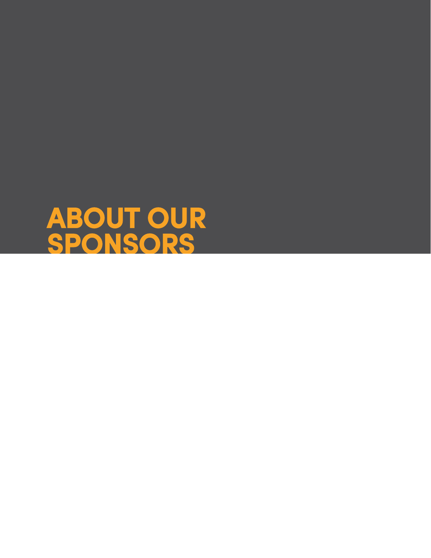<span id="page-33-0"></span>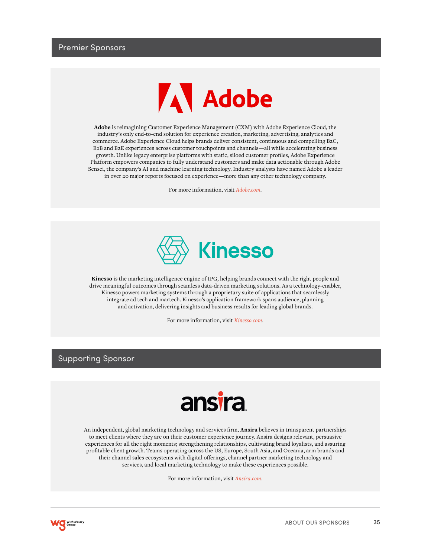

**Adobe** is reimagining Customer Experience Management (CXM) with Adobe Experience Cloud, the industry's only end-to-end solution for experience creation, marketing, advertising, analytics and commerce. Adobe Experience Cloud helps brands deliver consistent, continuous and compelling B2C, B2B and B2E experiences across customer touchpoints and channels—all while accelerating business growth. Unlike legacy enterprise platforms with static, siloed customer profiles, Adobe Experience Platform empowers companies to fully understand customers and make data actionable through Adobe Sensei, the company's AI and machine learning technology. Industry analysts have named Adobe a leader in over 20 major reports focused on experience—more than any other technology company.

For more information, visit *[Adobe.com](http://Adobe.com)*.



**Kinesso** is the marketing intelligence engine of IPG, helping brands connect with the right people and drive meaningful outcomes through seamless data-driven marketing solutions. As a technology-enabler, Kinesso powers marketing systems through a proprietary suite of applications that seamlessly integrate ad tech and martech. Kinesso's application framework spans audience, planning and activation, delivering insights and business results for leading global brands.

For more information, visit *[Kinesso.com](http://Kinesso.com)*.

## Supporting Sponsor

# ansira

An independent, global marketing technology and services firm, **Ansira** believes in transparent partnerships to meet clients where they are on their customer experience journey. Ansira designs relevant, persuasive experiences for all the right moments; strengthening relationships, cultivating brand loyalists, and assuring profitable client growth. Teams operating across the US, Europe, South Asia, and Oceania, arm brands and their channel sales ecosystems with digital offerings, channel partner marketing technology and services, and local marketing technology to make these experiences possible.

For more information, visit *[Ansira.com](http://Ansira.com)*.

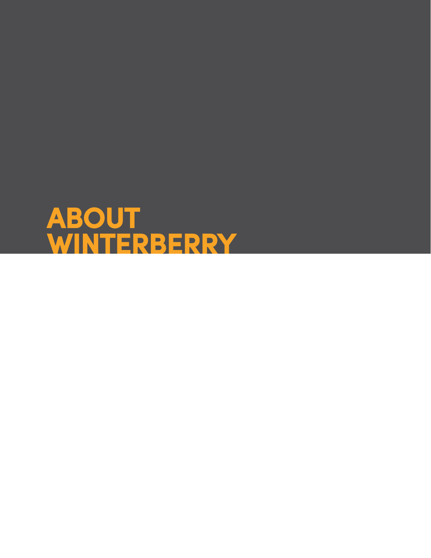<span id="page-35-0"></span>